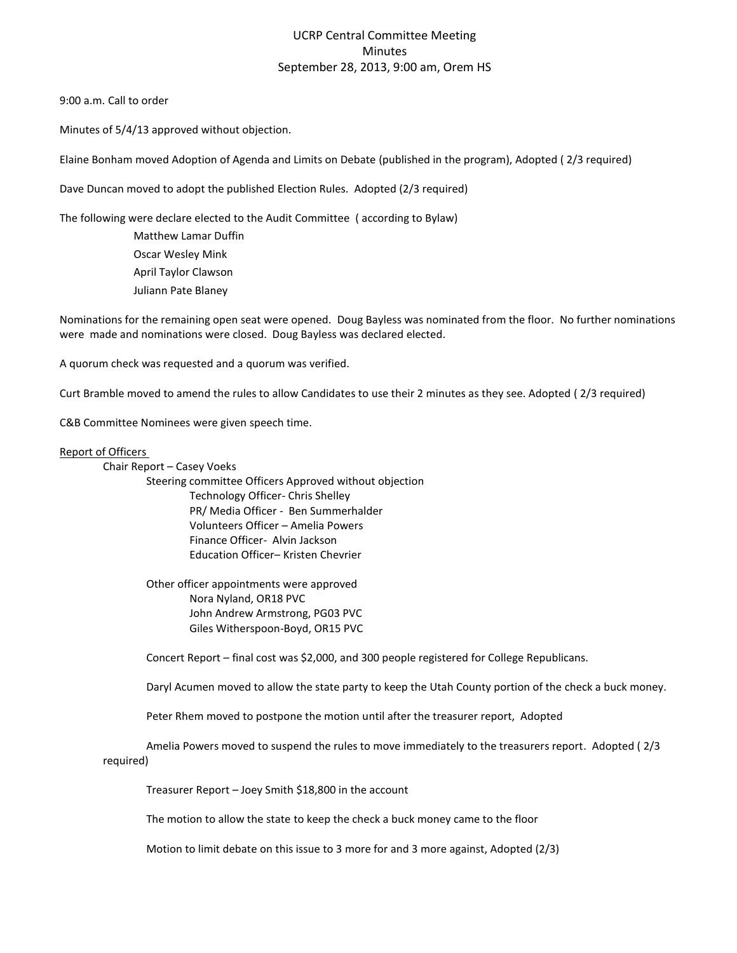## UCRP Central Committee Meeting Minutes September 28, 2013, 9:00 am, Orem HS

9:00 a.m. Call to order

Minutes of 5/4/13 approved without objection.

Elaine Bonham moved Adoption of Agenda and Limits on Debate (published in the program), Adopted ( 2/3 required)

Dave Duncan moved to adopt the published Election Rules. Adopted (2/3 required)

The following were declare elected to the Audit Committee ( according to Bylaw)

Matthew Lamar Duffin Oscar Wesley Mink April Taylor Clawson Juliann Pate Blaney

Nominations for the remaining open seat were opened. Doug Bayless was nominated from the floor. No further nominations were made and nominations were closed. Doug Bayless was declared elected.

A quorum check was requested and a quorum was verified.

Curt Bramble moved to amend the rules to allow Candidates to use their 2 minutes as they see. Adopted ( 2/3 required)

C&B Committee Nominees were given speech time.

## Report of Officers

Chair Report – Casey Voeks Steering committee Officers Approved without objection Technology Officer- Chris Shelley PR/ Media Officer - Ben Summerhalder Volunteers Officer – Amelia Powers Finance Officer- Alvin Jackson Education Officer– Kristen Chevrier

> Other officer appointments were approved Nora Nyland, OR18 PVC John Andrew Armstrong, PG03 PVC Giles Witherspoon-Boyd, OR15 PVC

Concert Report – final cost was \$2,000, and 300 people registered for College Republicans.

Daryl Acumen moved to allow the state party to keep the Utah County portion of the check a buck money.

Peter Rhem moved to postpone the motion until after the treasurer report, Adopted

Amelia Powers moved to suspend the rules to move immediately to the treasurers report. Adopted ( 2/3 required)

Treasurer Report – Joey Smith \$18,800 in the account

The motion to allow the state to keep the check a buck money came to the floor

Motion to limit debate on this issue to 3 more for and 3 more against, Adopted (2/3)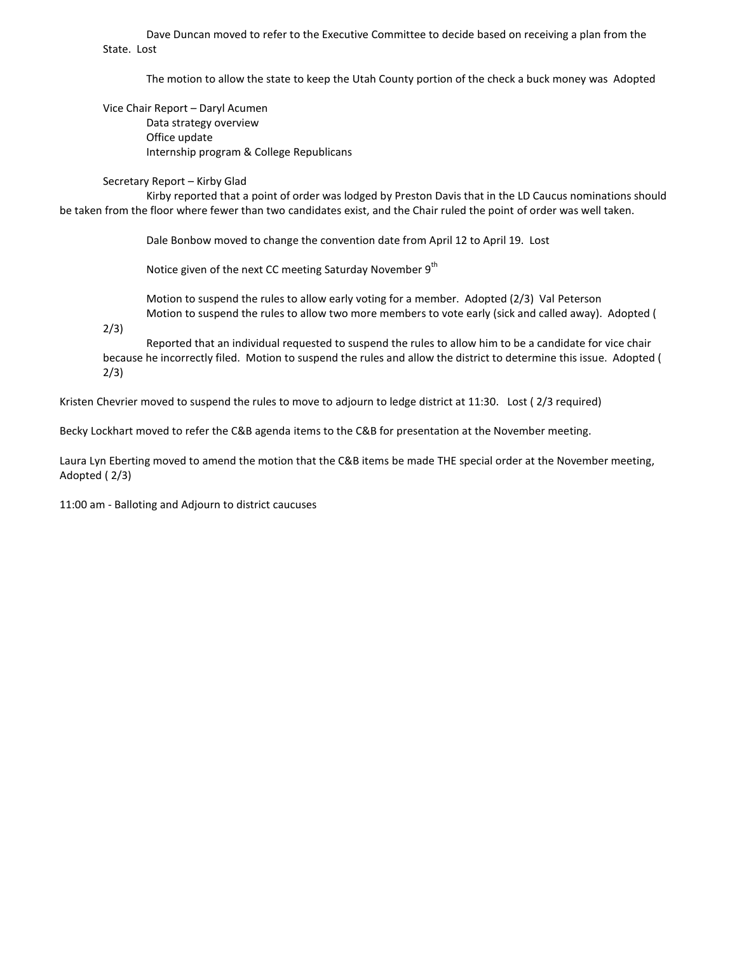Dave Duncan moved to refer to the Executive Committee to decide based on receiving a plan from the State. Lost

The motion to allow the state to keep the Utah County portion of the check a buck money was Adopted

Vice Chair Report – Daryl Acumen Data strategy overview Office update Internship program & College Republicans

Secretary Report – Kirby Glad

Kirby reported that a point of order was lodged by Preston Davis that in the LD Caucus nominations should be taken from the floor where fewer than two candidates exist, and the Chair ruled the point of order was well taken.

Dale Bonbow moved to change the convention date from April 12 to April 19. Lost

Notice given of the next CC meeting Saturday November  $9<sup>th</sup>$ 

Motion to suspend the rules to allow early voting for a member. Adopted (2/3) Val Peterson Motion to suspend the rules to allow two more members to vote early (sick and called away). Adopted (

2/3)

Reported that an individual requested to suspend the rules to allow him to be a candidate for vice chair because he incorrectly filed. Motion to suspend the rules and allow the district to determine this issue. Adopted ( 2/3)

Kristen Chevrier moved to suspend the rules to move to adjourn to ledge district at 11:30. Lost ( 2/3 required)

Becky Lockhart moved to refer the C&B agenda items to the C&B for presentation at the November meeting.

Laura Lyn Eberting moved to amend the motion that the C&B items be made THE special order at the November meeting, Adopted ( 2/3)

11:00 am - Balloting and Adjourn to district caucuses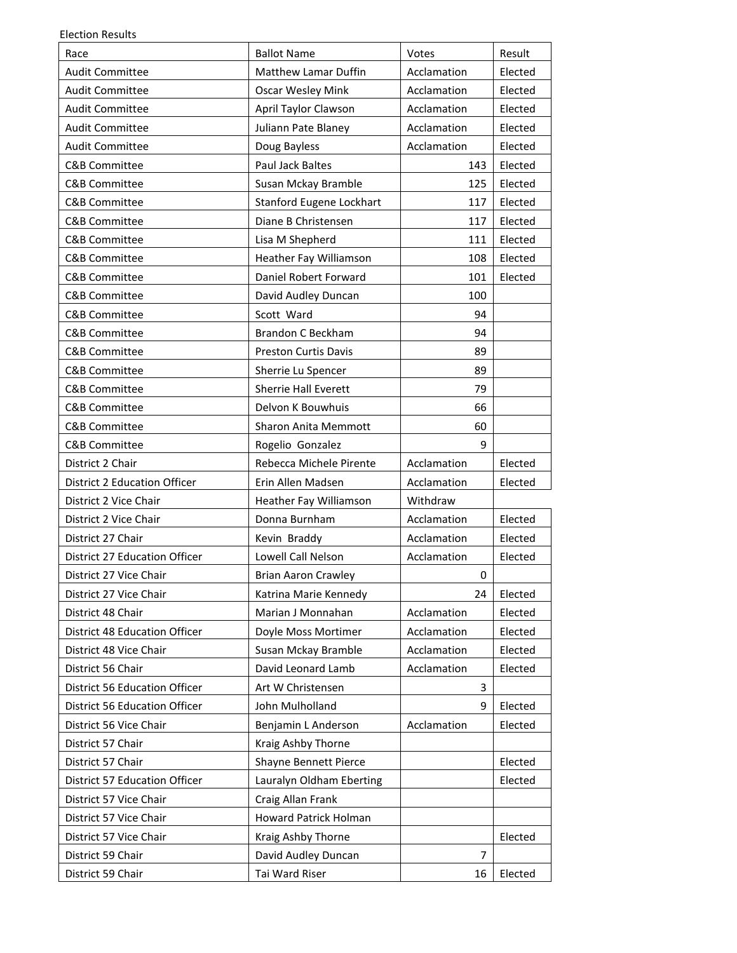| <b>Election Results</b> |  |
|-------------------------|--|
|-------------------------|--|

| Race                                 | <b>Ballot Name</b>          | Votes          | Result  |
|--------------------------------------|-----------------------------|----------------|---------|
| <b>Audit Committee</b>               | <b>Matthew Lamar Duffin</b> | Acclamation    | Elected |
| <b>Audit Committee</b>               | <b>Oscar Wesley Mink</b>    | Acclamation    | Elected |
| <b>Audit Committee</b>               | April Taylor Clawson        | Acclamation    | Elected |
| <b>Audit Committee</b>               | Juliann Pate Blaney         | Acclamation    | Elected |
| <b>Audit Committee</b>               | Doug Bayless                | Acclamation    | Elected |
| <b>C&amp;B Committee</b>             | Paul Jack Baltes            | 143            | Elected |
| C&B Committee                        | Susan Mckay Bramble         | 125            | Elected |
| <b>C&amp;B Committee</b>             | Stanford Eugene Lockhart    | 117            | Elected |
| <b>C&amp;B Committee</b>             | Diane B Christensen         | 117            | Elected |
| C&B Committee                        | Lisa M Shepherd             | 111            | Elected |
| <b>C&amp;B Committee</b>             | Heather Fay Williamson      | 108            | Elected |
| <b>C&amp;B Committee</b>             | Daniel Robert Forward       | 101            | Elected |
| <b>C&amp;B Committee</b>             | David Audley Duncan         | 100            |         |
| <b>C&amp;B Committee</b>             | Scott Ward                  | 94             |         |
| <b>C&amp;B Committee</b>             | <b>Brandon C Beckham</b>    | 94             |         |
| <b>C&amp;B Committee</b>             | <b>Preston Curtis Davis</b> | 89             |         |
| <b>C&amp;B Committee</b>             | Sherrie Lu Spencer          | 89             |         |
| <b>C&amp;B Committee</b>             | Sherrie Hall Everett        | 79             |         |
| <b>C&amp;B Committee</b>             | Delvon K Bouwhuis           | 66             |         |
| <b>C&amp;B Committee</b>             | <b>Sharon Anita Memmott</b> | 60             |         |
| <b>C&amp;B Committee</b>             | Rogelio Gonzalez            | 9              |         |
| District 2 Chair                     | Rebecca Michele Pirente     | Acclamation    | Elected |
| <b>District 2 Education Officer</b>  | Erin Allen Madsen           | Acclamation    | Elected |
| District 2 Vice Chair                | Heather Fay Williamson      | Withdraw       |         |
| District 2 Vice Chair                | Donna Burnham               | Acclamation    | Elected |
| District 27 Chair                    | Kevin Braddy                | Acclamation    | Elected |
| District 27 Education Officer        | Lowell Call Nelson          | Acclamation    | Elected |
| District 27 Vice Chair               | <b>Brian Aaron Crawley</b>  | 0              |         |
| District 27 Vice Chair               | Katrina Marie Kennedy       | 24             | Elected |
| District 48 Chair                    | Marian J Monnahan           | Acclamation    | Elected |
| <b>District 48 Education Officer</b> | Doyle Moss Mortimer         | Acclamation    | Elected |
| District 48 Vice Chair               | Susan Mckay Bramble         | Acclamation    | Elected |
| District 56 Chair                    | David Leonard Lamb          | Acclamation    | Elected |
| <b>District 56 Education Officer</b> | Art W Christensen           | 3              |         |
| <b>District 56 Education Officer</b> | John Mulholland             | 9              | Elected |
| District 56 Vice Chair               | Benjamin L Anderson         | Acclamation    | Elected |
| District 57 Chair                    | Kraig Ashby Thorne          |                |         |
| District 57 Chair                    | Shayne Bennett Pierce       |                | Elected |
| District 57 Education Officer        | Lauralyn Oldham Eberting    |                | Elected |
| District 57 Vice Chair               | Craig Allan Frank           |                |         |
| District 57 Vice Chair               | Howard Patrick Holman       |                |         |
| District 57 Vice Chair               | Kraig Ashby Thorne          |                | Elected |
| District 59 Chair                    | David Audley Duncan         | $\overline{7}$ |         |
| District 59 Chair                    | Tai Ward Riser              | 16             | Elected |